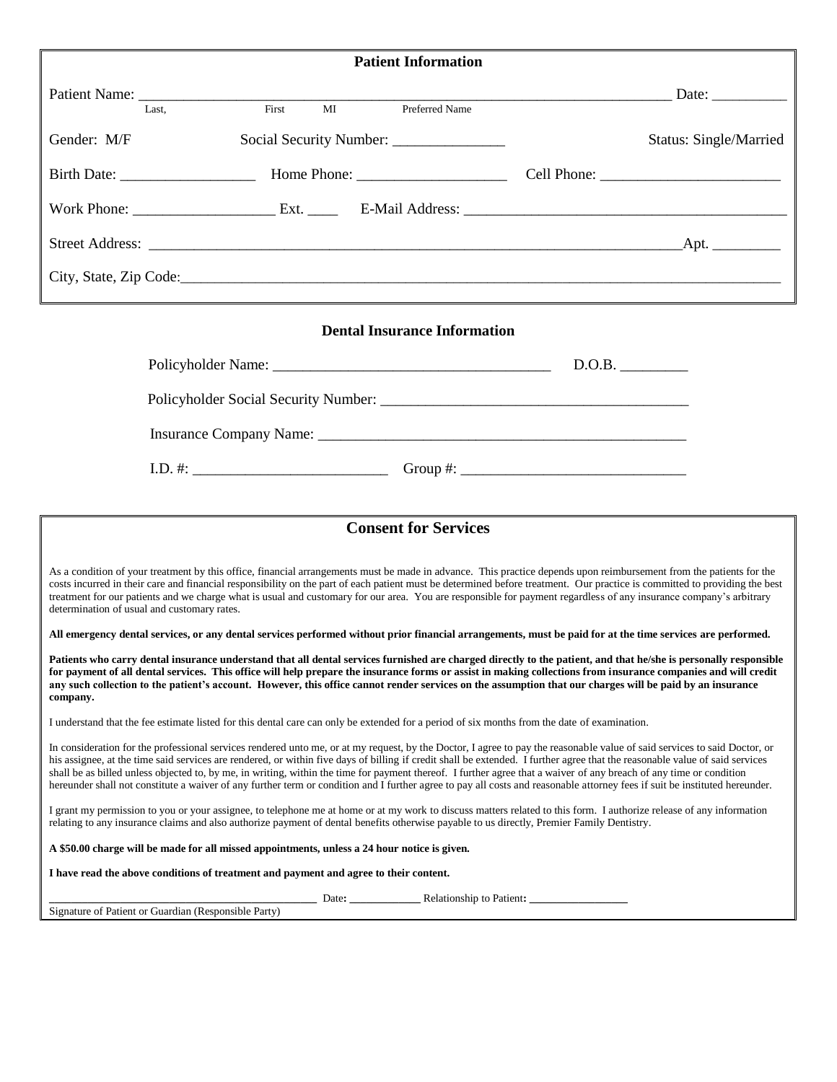| Patient Name: Tast.                         |                                                                                              |                                                                                                                                                                                                                                                                                                                                                                                                                                                                                                                                                                                                                                                                                                                 |                |                                                                                                                                                                                                                                                                                                                                    |
|---------------------------------------------|----------------------------------------------------------------------------------------------|-----------------------------------------------------------------------------------------------------------------------------------------------------------------------------------------------------------------------------------------------------------------------------------------------------------------------------------------------------------------------------------------------------------------------------------------------------------------------------------------------------------------------------------------------------------------------------------------------------------------------------------------------------------------------------------------------------------------|----------------|------------------------------------------------------------------------------------------------------------------------------------------------------------------------------------------------------------------------------------------------------------------------------------------------------------------------------------|
|                                             |                                                                                              | $\overline{\text{MI}}$                                                                                                                                                                                                                                                                                                                                                                                                                                                                                                                                                                                                                                                                                          | Preferred Name | Date: $\_\_$                                                                                                                                                                                                                                                                                                                       |
|                                             |                                                                                              |                                                                                                                                                                                                                                                                                                                                                                                                                                                                                                                                                                                                                                                                                                                 |                |                                                                                                                                                                                                                                                                                                                                    |
| Gender: M/F                                 |                                                                                              |                                                                                                                                                                                                                                                                                                                                                                                                                                                                                                                                                                                                                                                                                                                 |                | Status: Single/Married                                                                                                                                                                                                                                                                                                             |
|                                             |                                                                                              |                                                                                                                                                                                                                                                                                                                                                                                                                                                                                                                                                                                                                                                                                                                 |                |                                                                                                                                                                                                                                                                                                                                    |
|                                             |                                                                                              |                                                                                                                                                                                                                                                                                                                                                                                                                                                                                                                                                                                                                                                                                                                 |                |                                                                                                                                                                                                                                                                                                                                    |
|                                             |                                                                                              |                                                                                                                                                                                                                                                                                                                                                                                                                                                                                                                                                                                                                                                                                                                 |                |                                                                                                                                                                                                                                                                                                                                    |
|                                             |                                                                                              |                                                                                                                                                                                                                                                                                                                                                                                                                                                                                                                                                                                                                                                                                                                 |                |                                                                                                                                                                                                                                                                                                                                    |
|                                             |                                                                                              | <b>Dental Insurance Information</b>                                                                                                                                                                                                                                                                                                                                                                                                                                                                                                                                                                                                                                                                             |                |                                                                                                                                                                                                                                                                                                                                    |
|                                             |                                                                                              |                                                                                                                                                                                                                                                                                                                                                                                                                                                                                                                                                                                                                                                                                                                 |                | D.O.B.                                                                                                                                                                                                                                                                                                                             |
|                                             |                                                                                              |                                                                                                                                                                                                                                                                                                                                                                                                                                                                                                                                                                                                                                                                                                                 |                |                                                                                                                                                                                                                                                                                                                                    |
|                                             |                                                                                              |                                                                                                                                                                                                                                                                                                                                                                                                                                                                                                                                                                                                                                                                                                                 |                |                                                                                                                                                                                                                                                                                                                                    |
|                                             |                                                                                              |                                                                                                                                                                                                                                                                                                                                                                                                                                                                                                                                                                                                                                                                                                                 |                |                                                                                                                                                                                                                                                                                                                                    |
|                                             |                                                                                              |                                                                                                                                                                                                                                                                                                                                                                                                                                                                                                                                                                                                                                                                                                                 |                |                                                                                                                                                                                                                                                                                                                                    |
|                                             |                                                                                              | <b>Consent for Services</b>                                                                                                                                                                                                                                                                                                                                                                                                                                                                                                                                                                                                                                                                                     |                |                                                                                                                                                                                                                                                                                                                                    |
| determination of usual and customary rates. |                                                                                              | As a condition of your treatment by this office, financial arrangements must be made in advance. This practice depends upon reimbursement from the patients for the<br>treatment for our patients and we charge what is usual and customary for our area. You are responsible for payment regardless of any insurance company's arbitrary                                                                                                                                                                                                                                                                                                                                                                       |                | costs incurred in their care and financial responsibility on the part of each patient must be determined before treatment. Our practice is committed to providing the best                                                                                                                                                         |
| company.                                    |                                                                                              | All emergency dental services, or any dental services performed without prior financial arrangements, must be paid for at the time services are performed.<br>any such collection to the patient's account. However, this office cannot render services on the assumption that our charges will be paid by an insurance                                                                                                                                                                                                                                                                                                                                                                                         |                | Patients who carry dental insurance understand that all dental services furnished are charged directly to the patient, and that he/she is personally responsible<br>for payment of all dental services. This office will help prepare the insurance forms or assist in making collections from insurance companies and will credit |
|                                             |                                                                                              | I understand that the fee estimate listed for this dental care can only be extended for a period of six months from the date of examination.                                                                                                                                                                                                                                                                                                                                                                                                                                                                                                                                                                    |                |                                                                                                                                                                                                                                                                                                                                    |
|                                             |                                                                                              | In consideration for the professional services rendered unto me, or at my request, by the Doctor, I agree to pay the reasonable value of said services to said Doctor, or<br>his assignee, at the time said services are rendered, or within five days of billing if credit shall be extended. I further agree that the reasonable value of said services<br>shall be as billed unless objected to, by me, in writing, within the time for payment thereof. I further agree that a waiver of any breach of any time or condition<br>hereunder shall not constitute a waiver of any further term or condition and I further agree to pay all costs and reasonable attorney fees if suit be instituted hereunder. |                |                                                                                                                                                                                                                                                                                                                                    |
|                                             |                                                                                              | I grant my permission to you or your assignee, to telephone me at home or at my work to discuss matters related to this form. I authorize release of any information<br>relating to any insurance claims and also authorize payment of dental benefits otherwise payable to us directly, Premier Family Dentistry.                                                                                                                                                                                                                                                                                                                                                                                              |                |                                                                                                                                                                                                                                                                                                                                    |
|                                             | A \$50.00 charge will be made for all missed appointments, unless a 24 hour notice is given. |                                                                                                                                                                                                                                                                                                                                                                                                                                                                                                                                                                                                                                                                                                                 |                |                                                                                                                                                                                                                                                                                                                                    |
|                                             | I have read the above conditions of treatment and payment and agree to their content.        |                                                                                                                                                                                                                                                                                                                                                                                                                                                                                                                                                                                                                                                                                                                 |                |                                                                                                                                                                                                                                                                                                                                    |
|                                             | Signature of Patient or Guardian (Responsible Party)                                         | Date: <u>Date: Relationship</u> to Patient:                                                                                                                                                                                                                                                                                                                                                                                                                                                                                                                                                                                                                                                                     |                |                                                                                                                                                                                                                                                                                                                                    |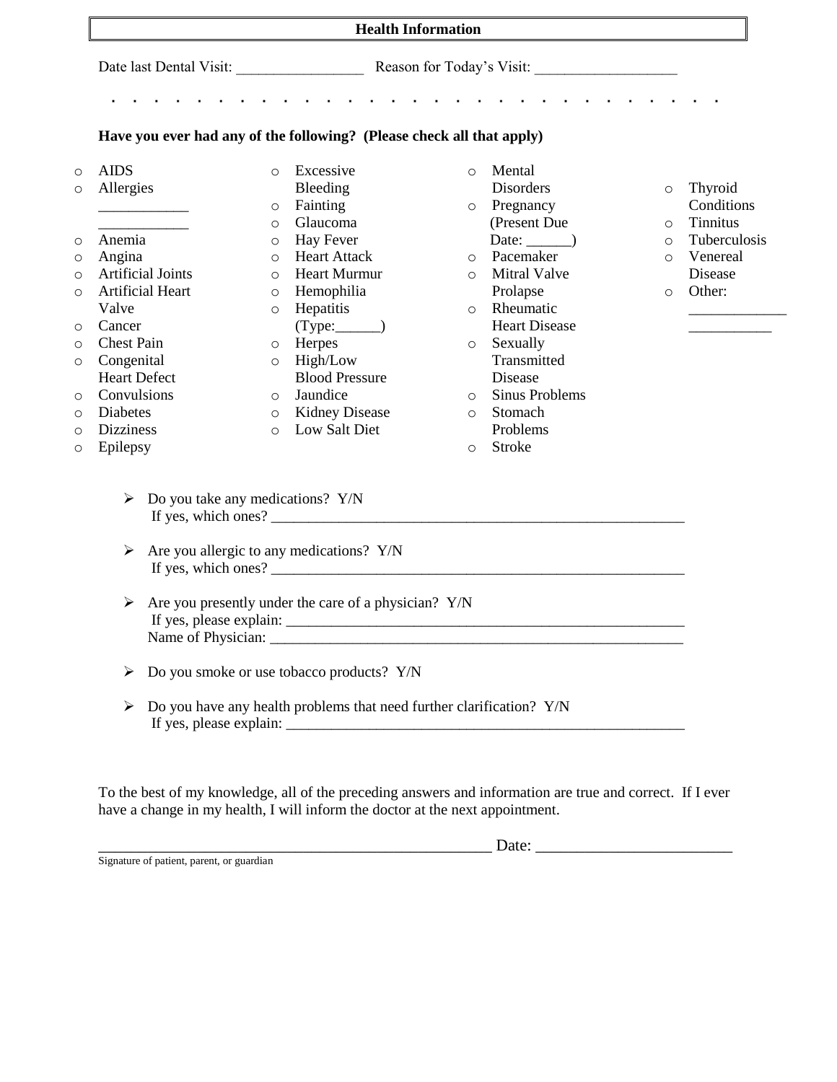| <b>Health Information</b>                                             |                                    |                                                                      |                                                                                                 |                            |  |  |  |  |
|-----------------------------------------------------------------------|------------------------------------|----------------------------------------------------------------------|-------------------------------------------------------------------------------------------------|----------------------------|--|--|--|--|
|                                                                       |                                    |                                                                      |                                                                                                 |                            |  |  |  |  |
|                                                                       |                                    |                                                                      |                                                                                                 |                            |  |  |  |  |
| Have you ever had any of the following? (Please check all that apply) |                                    |                                                                      |                                                                                                 |                            |  |  |  |  |
| <b>AIDS</b>                                                           |                                    | Excessive<br>$\circ$                                                 | Mental<br>$\circ$                                                                               |                            |  |  |  |  |
|                                                                       | Allergies                          | Bleeding                                                             | Disorders                                                                                       | Thyroid<br>O               |  |  |  |  |
|                                                                       |                                    | Fainting<br>O                                                        | Pregnancy<br>$\circ$                                                                            | Conditions                 |  |  |  |  |
|                                                                       |                                    | Glaucoma<br>$\circ$                                                  | (Present Due)                                                                                   | <b>Tinnitus</b><br>$\circ$ |  |  |  |  |
|                                                                       | Anemia                             | Hay Fever<br>$\circ$                                                 | Date: $\_\_)$                                                                                   | Tuberculosis<br>$\circ$    |  |  |  |  |
|                                                                       | Angina<br><b>Artificial Joints</b> | <b>Heart Attack</b><br>$\circ$                                       | Pacemaker<br>$\circ$                                                                            | Venereal<br>$\circ$        |  |  |  |  |
|                                                                       |                                    | <b>Heart Murmur</b><br>$\circ$                                       | <b>Mitral Valve</b><br>$\circ$                                                                  | Disease<br>Other:          |  |  |  |  |
| Valve                                                                 | Artificial Heart                   | Hemophilia<br>$\circ$<br>Hepatitis                                   | Prolapse<br>Rheumatic<br>$\circ$                                                                | $\circ$                    |  |  |  |  |
|                                                                       | Cancer                             | $\circ$                                                              | <b>Heart Disease</b>                                                                            |                            |  |  |  |  |
|                                                                       | <b>Chest Pain</b>                  | Herpes<br>$\circ$                                                    | Sexually<br>$\circ$                                                                             |                            |  |  |  |  |
|                                                                       | Congenital                         | High/Low<br>$\circ$                                                  | Transmitted                                                                                     |                            |  |  |  |  |
|                                                                       | <b>Heart Defect</b>                | <b>Blood Pressure</b>                                                | Disease                                                                                         |                            |  |  |  |  |
|                                                                       | Convulsions                        | Jaundice<br>$\circ$                                                  | <b>Sinus Problems</b><br>$\circ$                                                                |                            |  |  |  |  |
|                                                                       | <b>Diabetes</b>                    | <b>Kidney Disease</b><br>$\circ$                                     | Stomach<br>$\circ$                                                                              |                            |  |  |  |  |
|                                                                       | <b>Dizziness</b>                   | Low Salt Diet<br>$\Omega$                                            | Problems                                                                                        |                            |  |  |  |  |
|                                                                       | Epilepsy                           |                                                                      | Stroke<br>$\circ$                                                                               |                            |  |  |  |  |
|                                                                       | ➤                                  | Do you take any medications? Y/N                                     |                                                                                                 |                            |  |  |  |  |
|                                                                       |                                    |                                                                      | If yes, which ones? $\frac{1}{\sqrt{1-\frac{1}{2}}}\left[\frac{1}{\sqrt{1-\frac{1}{2}}}\right]$ |                            |  |  |  |  |
|                                                                       | ➤                                  | Are you allergic to any medications? Y/N                             |                                                                                                 |                            |  |  |  |  |
|                                                                       | ➤                                  | Are you presently under the care of a physician? Y/N                 |                                                                                                 |                            |  |  |  |  |
| Do you smoke or use tobacco products? Y/N<br>➤                        |                                    |                                                                      |                                                                                                 |                            |  |  |  |  |
|                                                                       | ➤                                  | Do you have any health problems that need further clarification? Y/N |                                                                                                 |                            |  |  |  |  |

To the best of my knowledge, all of the preceding answers and information are true and correct. If I ever have a change in my health, I will inform the doctor at the next appointment.

\_\_\_\_\_\_\_\_\_\_\_\_\_\_\_\_\_\_\_\_\_\_\_\_\_\_\_\_\_\_\_\_\_\_\_\_\_\_\_\_\_\_\_\_\_\_\_\_ Date: \_\_\_\_\_\_\_\_\_\_\_\_\_\_\_\_\_\_\_\_\_\_\_\_

Signature of patient, parent, or guardian